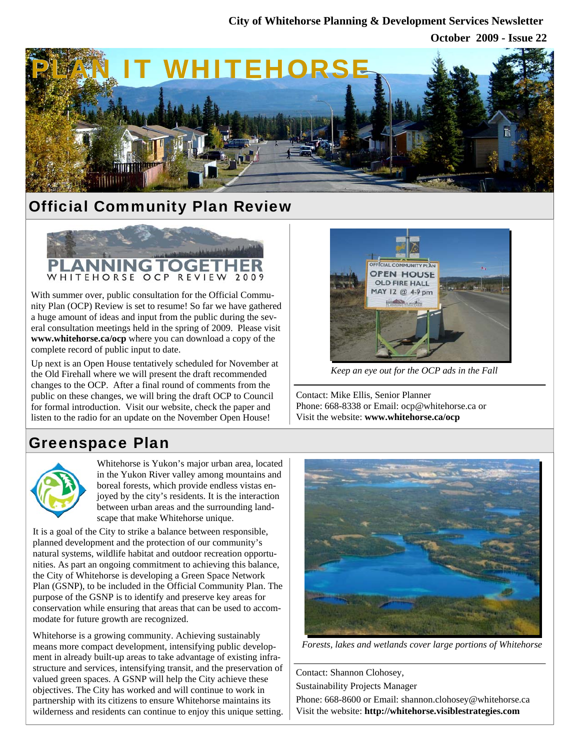#### **City of Whitehorse Planning & Development Services Newsletter**

**October 2009 - Issue 22**



# Official Community Plan Review



With summer over, public consultation for the Official Community Plan (OCP) Review is set to resume! So far we have gathered a huge amount of ideas and input from the public during the several consultation meetings held in the spring of 2009. Please visit **www.whitehorse.ca/ocp** where you can download a copy of the complete record of public input to date.

Up next is an Open House tentatively scheduled for November at the Old Firehall where we will present the draft recommended changes to the OCP. After a final round of comments from the public on these changes, we will bring the draft OCP to Council for formal introduction. Visit our website, check the paper and listen to the radio for an update on the November Open House!



*Keep an eye out for the OCP ads in the Fall* 

Contact: Mike Ellis, Senior Planner Phone: 668-8338 or Email: ocp@whitehorse.ca or Visit the website: **www.whitehorse.ca/ocp**

### Greenspace Plan



Whitehorse is Yukon's major urban area, located in the Yukon River valley among mountains and boreal forests, which provide endless vistas enjoyed by the city's residents. It is the interaction between urban areas and the surrounding landscape that make Whitehorse unique.

It is a goal of the City to strike a balance between responsible, planned development and the protection of our community's natural systems, wildlife habitat and outdoor recreation opportunities. As part an ongoing commitment to achieving this balance, the City of Whitehorse is developing a Green Space Network Plan (GSNP), to be included in the Official Community Plan. The purpose of the GSNP is to identify and preserve key areas for conservation while ensuring that areas that can be used to accommodate for future growth are recognized.

Whitehorse is a growing community. Achieving sustainably means more compact development, intensifying public development in already built-up areas to take advantage of existing infrastructure and services, intensifying transit, and the preservation of valued green spaces. A GSNP will help the City achieve these objectives. The City has worked and will continue to work in partnership with its citizens to ensure Whitehorse maintains its wilderness and residents can continue to enjoy this unique setting.



*Forests, lakes and wetlands cover large portions of Whitehorse* 

Contact: Shannon Clohosey,

Sustainability Projects Manager

Phone: 668-8600 or Email: shannon.clohosey@whitehorse.ca Visit the website: **http://whitehorse.visiblestrategies.com**